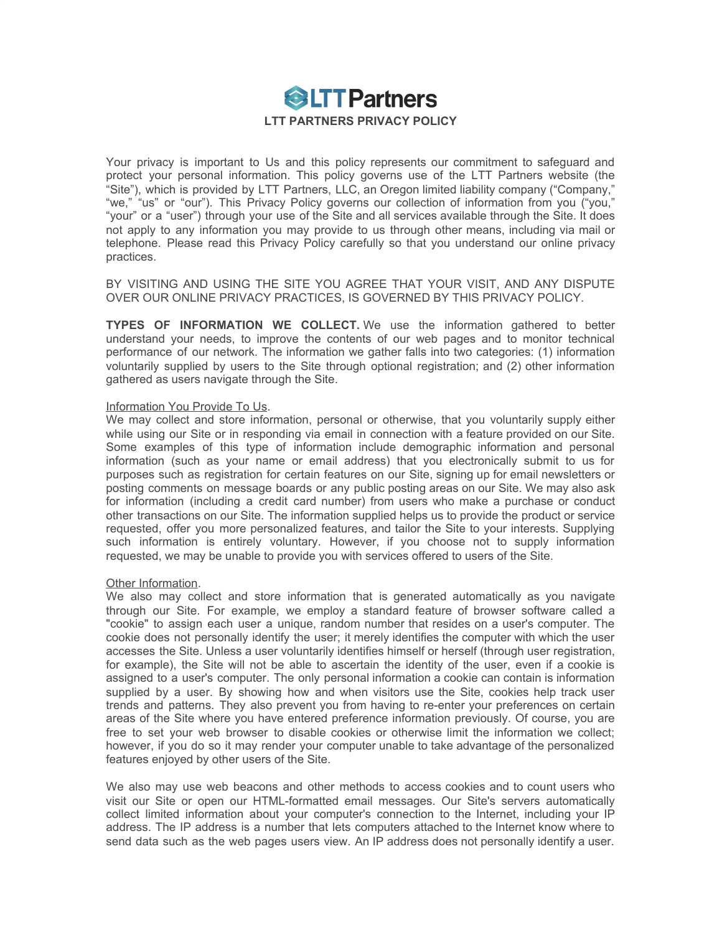

Your privacy is important to Us and this policy represents our commitment to safeguard and protect your personal information. This policy governs use of the LTT Partners website (the "Site"), which is provided by LTT Partners, LLC, an Oregon limited liability company ("Company," "we," "us" or "our"). This Privacy Policy governs our collection of information from you ("you," "your" or a "user") through your use of the Site and all services available through the Site. It does not apply to any information you may provide to us through other means, including via mail or telephone. Please read this Privacy Policy carefully so that you understand our online privacy practices.

BY VISITING AND USING THE SITE YOU AGREE THAT YOUR VISIT, AND ANY DISPUTE OVER OUR ONLINE PRIVACY PRACTICES, IS GOVERNED BY THIS PRIVACY POLICY.

**TYPES OF INFORMATION WE COLLECT.** We use the information gathered to better understand your needs, to improve the contents of our web pages and to monitor technical performance of our network. The information we gather falls into two categories: (1) information voluntarily supplied by users to the Site through optional registration; and (2) other information gathered as users navigate through the Site.

## Information You Provide To Us.

We may collect and store information, personal or otherwise, that you voluntarily supply either while using our Site or in responding via email in connection with a feature provided on our Site. Some examples of this type of information include demographic information and personal information (such as your name or email address) that you electronically submit to us for purposes such as registration for certain features on our Site, signing up for email newsletters or posting comments on message boards or any public posting areas on our Site. We may also ask for information (including a credit card number) from users who make a purchase or conduct other transactions on our Site. The information supplied helps us to provide the product or service requested, offer you more personalized features, and tailor the Site to your interests. Supplying such information is entirely voluntary. However, if you choose not to supply information requested, we may be unable to provide you with services offered to users of the Site.

## Other Information.

We also may collect and store information that is generated automatically as you navigate through our Site. For example, we employ a standard feature of browser software called a "cookie" to assign each user a unique, random number that resides on a user's computer. The cookie does not personally identify the user; it merely identifies the computer with which the user accesses the Site. Unless a user voluntarily identifies himself or herself (through user registration, for example), the Site will not be able to ascertain the identity of the user, even if a cookie is assigned to a user's computer. The only personal information a cookie can contain is information supplied by a user. By showing how and when visitors use the Site, cookies help track user trends and patterns. They also prevent you from having to re-enter your preferences on certain areas of the Site where you have entered preference information previously. Of course, you are free to set your web browser to disable cookies or otherwise limit the information we collect; however, if you do so it may render your computer unable to take advantage of the personalized features enjoyed by other users of the Site.

We also may use web beacons and other methods to access cookies and to count users who visit our Site or open our HTML-formatted email messages. Our Site's servers automatically collect limited information about your computer's connection to the Internet, including your IP address. The IP address is a number that lets computers attached to the Internet know where to send data such as the web pages users view. An IP address does not personally identify a user.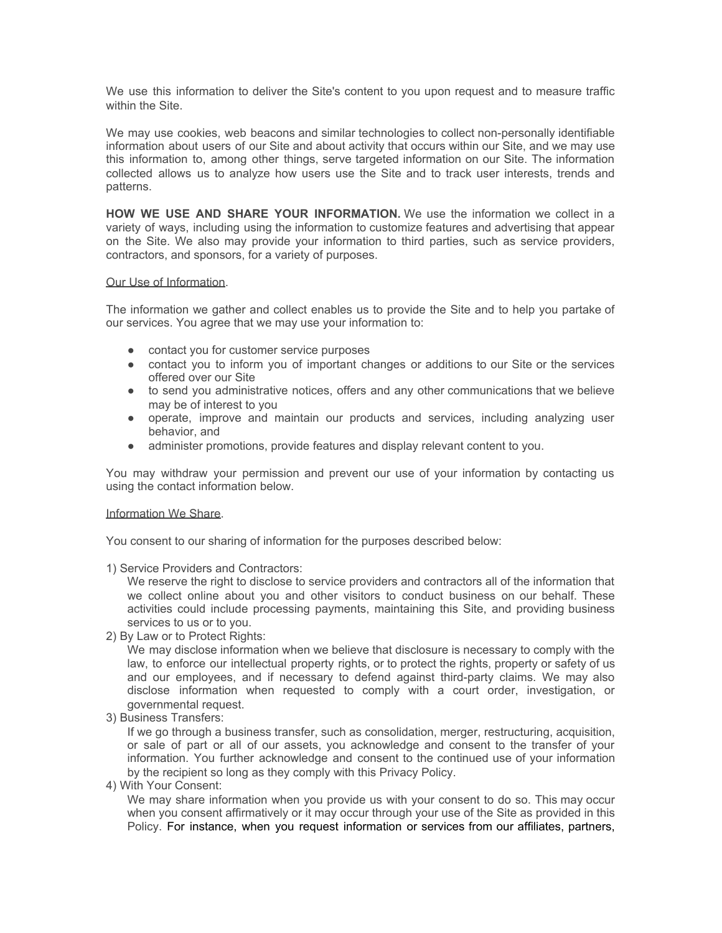We use this information to deliver the Site's content to you upon request and to measure traffic within the Site.

We may use cookies, web beacons and similar technologies to collect non-personally identifiable information about users of our Site and about activity that occurs within our Site, and we may use this information to, among other things, serve targeted information on our Site. The information collected allows us to analyze how users use the Site and to track user interests, trends and patterns.

**HOW WE USE AND SHARE YOUR INFORMATION.** We use the information we collect in a variety of ways, including using the information to customize features and advertising that appear on the Site. We also may provide your information to third parties, such as service providers, contractors, and sponsors, for a variety of purposes.

## Our Use of Information.

The information we gather and collect enables us to provide the Site and to help you partake of our services. You agree that we may use your information to:

- contact you for customer service purposes
- contact you to inform you of important changes or additions to our Site or the services offered over our Site
- to send you administrative notices, offers and any other communications that we believe may be of interest to you
- operate, improve and maintain our products and services, including analyzing user behavior, and
- administer promotions, provide features and display relevant content to you.

You may withdraw your permission and prevent our use of your information by contacting us using the contact information below.

## Information We Share.

You consent to our sharing of information for the purposes described below:

1) Service Providers and Contractors:

We reserve the right to disclose to service providers and contractors all of the information that we collect online about you and other visitors to conduct business on our behalf. These activities could include processing payments, maintaining this Site, and providing business services to us or to you.

2) By Law or to Protect Rights:

We may disclose information when we believe that disclosure is necessary to comply with the law, to enforce our intellectual property rights, or to protect the rights, property or safety of us and our employees, and if necessary to defend against third-party claims. We may also disclose information when requested to comply with a court order, investigation, or governmental request.

3) Business Transfers:

If we go through a business transfer, such as consolidation, merger, restructuring, acquisition, or sale of part or all of our assets, you acknowledge and consent to the transfer of your information. You further acknowledge and consent to the continued use of your information by the recipient so long as they comply with this Privacy Policy.

4) With Your Consent:

We may share information when you provide us with your consent to do so. This may occur when you consent affirmatively or it may occur through your use of the Site as provided in this Policy. For instance, when you request information or services from our affiliates, partners,